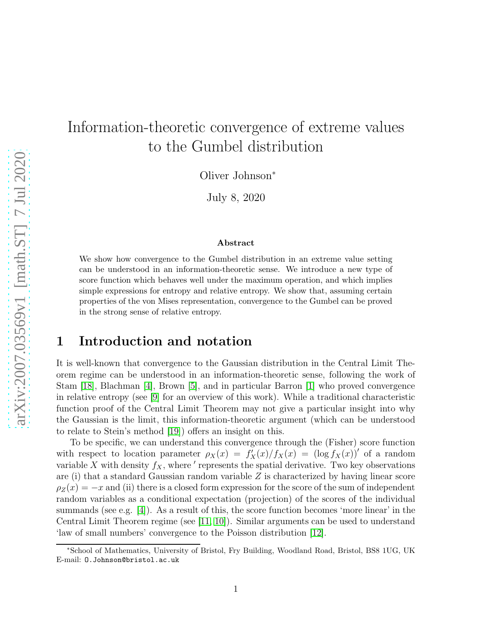# Information-theoretic convergence of extreme values to the Gumbel distribution

Oliver Johnson<sup>∗</sup>

July 8, 2020

#### Abstract

We show how convergence to the Gumbel distribution in an extreme value setting can be understood in an information-theoretic sense. We introduce a new type of score function which behaves well under the maximum operation, and which implies simple expressions for entropy and relative entropy. We show that, assuming certain properties of the von Mises representation, convergence to the Gumbel can be proved in the strong sense of relative entropy.

## 1 Introduction and notation

It is well-known that convergence to the Gaussian distribution in the Central Limit Theorem regime can be understood in an information-theoretic sense, following the work of Stam [\[18\]](#page-10-0), Blachman [\[4\]](#page-9-0), Brown [\[5\]](#page-9-1), and in particular Barron [\[1\]](#page-9-2) who proved convergence in relative entropy (see [\[9\]](#page-9-3) for an overview of this work). While a traditional characteristic function proof of the Central Limit Theorem may not give a particular insight into why the Gaussian is the limit, this information-theoretic argument (which can be understood to relate to Stein's method [\[19\]](#page-10-1)) offers an insight on this.

To be specific, we can understand this convergence through the (Fisher) score function with respect to location parameter  $\rho_X(x) = f_X(x)/f_X(x) = (\log f_X(x))'$  of a random variable X with density  $f_X$ , where ' represents the spatial derivative. Two key observations are (i) that a standard Gaussian random variable  $Z$  is characterized by having linear score  $\rho_Z(x) = -x$  and (ii) there is a closed form expression for the score of the sum of independent random variables as a conditional expectation (projection) of the scores of the individual summands (see e.g. [\[4\]](#page-9-0)). As a result of this, the score function becomes 'more linear' in the Central Limit Theorem regime (see [\[11,](#page-9-4) [10\]](#page-9-5)). Similar arguments can be used to understand 'law of small numbers' convergence to the Poisson distribution [\[12\]](#page-9-6).

<sup>∗</sup>School of Mathematics, University of Bristol, Fry Building, Woodland Road, Bristol, BS8 1UG, UK E-mail: O.Johnson@bristol.ac.uk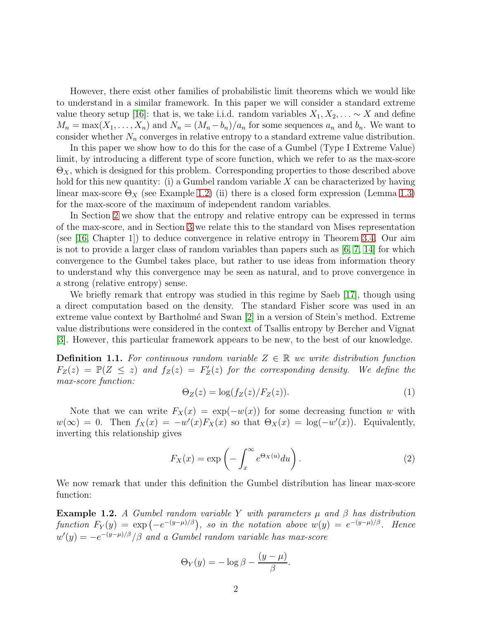However, there exist other families of probabilistic limit theorems which we would like to understand in a similar framework. In this paper we will consider a standard extreme value theory setup [\[16\]](#page-10-2): that is, we take i.i.d. random variables  $X_1, X_2, \ldots \sim X$  and define  $M_n = \max(X_1, \ldots, X_n)$  and  $N_n = (M_n - b_n)/a_n$  for some sequences  $a_n$  and  $b_n$ . We want to consider whether  $N_n$  converges in relative entropy to a standard extreme value distribution.

In this paper we show how to do this for the case of a Gumbel (Type I Extreme Value) limit, by introducing a different type of score function, which we refer to as the max-score  $\Theta_X$ , which is designed for this problem. Corresponding properties to those described above hold for this new quantity: (i) a Gumbel random variable  $X$  can be characterized by having linear max-score  $\Theta_X$  (see Example [1.2\)](#page-1-0) (ii) there is a closed form expression (Lemma [1.3\)](#page-2-0) for the max-score of the maximum of independent random variables.

In Section [2](#page-2-1) we show that the entropy and relative entropy can be expressed in terms of the max-score, and in Section [3](#page-4-0) we relate this to the standard von Mises representation (see [\[16,](#page-10-2) Chapter 1]) to deduce convergence in relative entropy in Theorem [3.4.](#page-6-0) Our aim is not to provide a larger class of random variables than papers such as  $[6, 7, 14]$  $[6, 7, 14]$  $[6, 7, 14]$  for which convergence to the Gumbel takes place, but rather to use ideas from information theory to understand why this convergence may be seen as natural, and to prove convergence in a strong (relative entropy) sense.

We briefly remark that entropy was studied in this regime by Saeb [\[17\]](#page-10-3), though using a direct computation based on the density. The standard Fisher score was used in an extreme value context by Bartholmé and Swan [\[2\]](#page-9-10) in a version of Stein's method. Extreme value distributions were considered in the context of Tsallis entropy by Bercher and Vignat [\[3\]](#page-9-11). However, this particular framework appears to be new, to the best of our knowledge.

**Definition 1.1.** For continuous random variable  $Z \in \mathbb{R}$  we write distribution function  $F_Z(z) = \mathbb{P}(Z \leq z)$  and  $f_Z(z) = F'_Z(z)$  for the corresponding density. We define the *max-score function:*

$$
\Theta_Z(z) = \log(f_Z(z)/F_Z(z)).\tag{1}
$$

Note that we can write  $F_X(x) = \exp(-w(x))$  for some decreasing function w with  $w(\infty) = 0$ . Then  $f_X(x) = -w'(x)F_X(x)$  so that  $\Theta_X(x) = \log(-w'(x))$ . Equivalently, inverting this relationship gives

<span id="page-1-1"></span>
$$
F_X(x) = \exp\left(-\int_x^\infty e^{\Theta_X(u)} du\right).
$$
 (2)

We now remark that under this definition the Gumbel distribution has linear max-score function:

<span id="page-1-0"></span>Example 1.2. *A Gumbel random variable* Y *with parameters* µ *and* β *has distribution*  $function F_Y(y) = \exp(-e^{-(y-\mu)/\beta}), so in the notation above w(y) = e^{-(y-\mu)/\beta}.$  Hence  $w'(y) = -e^{-(y-\mu)/\beta}/\beta$  and a Gumbel random variable has max-score

$$
\Theta_Y(y) = -\log \beta - \frac{(y-\mu)}{\beta}.
$$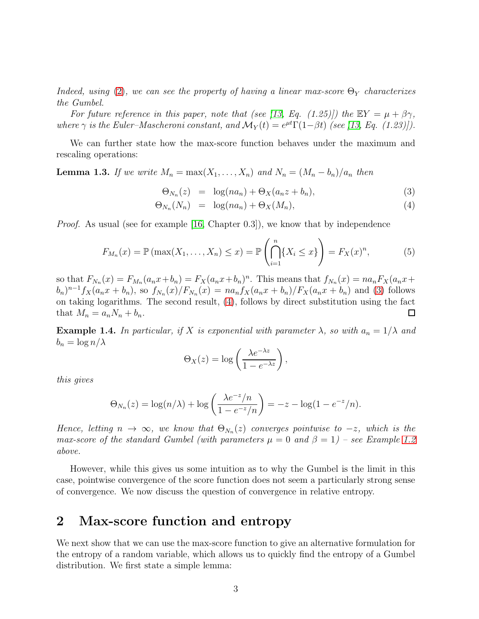*Indeed, using* [\(2\)](#page-1-1), we can see the property of having a linear max-score  $\Theta_Y$  *characterizes the Gumbel.*

*For future reference in this paper, note that (see [\[13,](#page-9-12) Eq. (1.25)]) the*  $EY = \mu + \beta \gamma$ , *where*  $\gamma$  *is the Euler–Mascheroni constant, and*  $\mathcal{M}_Y(t) = e^{\mu t} \Gamma(1-\beta t)$  *(see [\[13,](#page-9-12) Eq. (1.23)]).* 

We can further state how the max-score function behaves under the maximum and rescaling operations:

<span id="page-2-0"></span>**Lemma 1.3.** *If we write*  $M_n = \max(X_1, \ldots, X_n)$  *and*  $N_n = (M_n - b_n)/a_n$  *then* 

<span id="page-2-2"></span>
$$
\Theta_{N_n}(z) = \log(n a_n) + \Theta_X(a_n z + b_n), \tag{3}
$$

$$
\Theta_{N_n}(N_n) = \log(n a_n) + \Theta_X(M_n), \tag{4}
$$

*Proof.* As usual (see for example [\[16,](#page-10-2) Chapter 0.3]), we know that by independence

<span id="page-2-3"></span>
$$
F_{M_n}(x) = \mathbb{P}(\max(X_1, ..., X_n) \le x) = \mathbb{P}\left(\bigcap_{i=1}^n \{X_i \le x\}\right) = F_X(x)^n, \tag{5}
$$

so that  $F_{N_n}(x) = F_{M_n}(a_n x + b_n) = F_X(a_n x + b_n)^n$ . This means that  $f_{N_n}(x) = na_n F_X(a_n x + b_n)$  $(b_n)^{n-1} f_X(a_n x + b_n)$ , so  $f_{N_n}(x) / F_{N_n}(x) = na_n f_X(a_n x + b_n) / F_X(a_n x + b_n)$  and [\(3\)](#page-2-2) follows on taking logarithms. The second result, [\(4\)](#page-2-2), follows by direct substitution using the fact that  $M_n = a_n N_n + b_n$ . 口

**Example 1.4.** In particular, if X is exponential with parameter  $\lambda$ , so with  $a_n = 1/\lambda$  and  $b_n = \log n/\lambda$ 

$$
\Theta_X(z) = \log\left(\frac{\lambda e^{-\lambda z}}{1 - e^{-\lambda z}}\right),\,
$$

*this gives*

$$
\Theta_{N_n}(z) = \log(n/\lambda) + \log\left(\frac{\lambda e^{-z}/n}{1 - e^{-z}/n}\right) = -z - \log(1 - e^{-z}/n).
$$

*Hence, letting*  $n \to \infty$ *, we know that*  $\Theta_{N_n}(z)$  *converges pointwise to*  $-z$ *, which is the max-score of the standard Gumbel (with parameters*  $\mu = 0$  *and*  $\beta = 1$ ) – see Example [1.2](#page-1-0) *above.*

However, while this gives us some intuition as to why the Gumbel is the limit in this case, pointwise convergence of the score function does not seem a particularly strong sense of convergence. We now discuss the question of convergence in relative entropy.

## <span id="page-2-1"></span>2 Max-score function and entropy

We next show that we can use the max-score function to give an alternative formulation for the entropy of a random variable, which allows us to quickly find the entropy of a Gumbel distribution. We first state a simple lemma: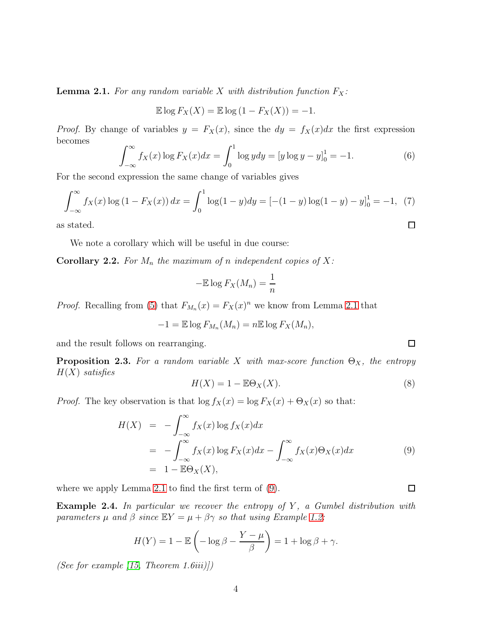<span id="page-3-0"></span>**Lemma 2.1.** For any random variable X with distribution function  $F_X$ :

$$
\mathbb{E}\log F_X(X) = \mathbb{E}\log(1 - F_X(X)) = -1.
$$

*Proof.* By change of variables  $y = F_X(x)$ , since the  $dy = f_X(x)dx$  the first expression becomes

$$
\int_{-\infty}^{\infty} f_X(x) \log F_X(x) dx = \int_0^1 \log y dy = [y \log y - y]_0^1 = -1.
$$
 (6)

For the second expression the same change of variables gives

$$
\int_{-\infty}^{\infty} f_X(x) \log (1 - F_X(x)) dx = \int_0^1 \log(1 - y) dy = [-(1 - y) \log(1 - y) - y]_0^1 = -1, (7)
$$
  
is stated.

as stated.

We note a corollary which will be useful in due course:

<span id="page-3-3"></span>**Corollary 2.2.** For  $M_n$  the maximum of n independent copies of X:

$$
-\mathbb{E}\log F_X(M_n) = \frac{1}{n}
$$

*Proof.* Recalling from [\(5\)](#page-2-3) that  $F_{M_n}(x) = F_X(x)^n$  we know from Lemma [2.1](#page-3-0) that

$$
-1 = \mathbb{E} \log F_{M_n}(M_n) = n \mathbb{E} \log F_X(M_n),
$$

and the result follows on rearranging.

<span id="page-3-2"></span>**Proposition 2.3.** For a random variable X with max-score function  $\Theta_X$ , the entropy H(X) *satisfies*

$$
H(X) = 1 - \mathbb{E}\Theta_X(X). \tag{8}
$$

*Proof.* The key observation is that  $\log f_X(x) = \log F_X(x) + \Theta_X(x)$  so that:

<span id="page-3-1"></span>
$$
H(X) = -\int_{-\infty}^{\infty} f_X(x) \log f_X(x) dx
$$
  
= 
$$
-\int_{-\infty}^{\infty} f_X(x) \log F_X(x) dx - \int_{-\infty}^{\infty} f_X(x) \Theta_X(x) dx
$$
 (9)  
= 
$$
1 - \mathbb{E} \Theta_X(X),
$$

where we apply Lemma [2.1](#page-3-0) to find the first term of [\(9\)](#page-3-1).

Example 2.4. In particular we recover the entropy of Y, a Gumbel distribution with *parameters*  $\mu$  *and*  $\beta$  *since*  $\mathbb{E}Y = \mu + \beta \gamma$  *so that using Example [1.2:](#page-1-0)* 

$$
H(Y) = 1 - \mathbb{E}\left(-\log \beta - \frac{Y - \mu}{\beta}\right) = 1 + \log \beta + \gamma.
$$

*(See for example [\[15,](#page-10-4) Theorem 1.6iii)])*

 $\Box$ 

 $\Box$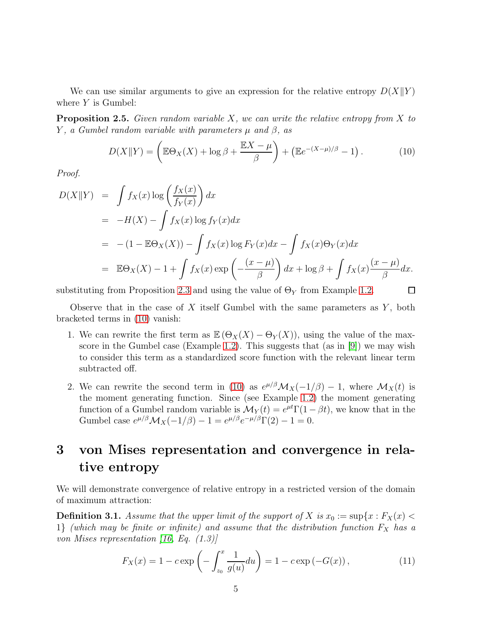We can use similar arguments to give an expression for the relative entropy  $D(X||Y)$ where  $Y$  is Gumbel:

Proposition 2.5. *Given random variable* X*, we can write the relative entropy from* X *to* Y *, a Gumbel random variable with parameters* µ *and* β*, as*

<span id="page-4-1"></span>
$$
D(X||Y) = \left(\mathbb{E}\Theta_X(X) + \log \beta + \frac{\mathbb{E}X - \mu}{\beta}\right) + \left(\mathbb{E}e^{-(X-\mu)/\beta} - 1\right). \tag{10}
$$

 $\Box$ 

*Proof.*

$$
D(X||Y) = \int f_X(x) \log \left(\frac{f_X(x)}{f_Y(x)}\right) dx
$$
  
=  $-H(X) - \int f_X(x) \log f_Y(x) dx$   
=  $-(1 - \mathbb{E}\Theta_X(X)) - \int f_X(x) \log F_Y(x) dx - \int f_X(x) \Theta_Y(x) dx$   
=  $\mathbb{E}\Theta_X(X) - 1 + \int f_X(x) \exp\left(-\frac{(x - \mu)}{\beta}\right) dx + \log \beta + \int f_X(x) \frac{(x - \mu)}{\beta} dx.$ 

substituting from Proposition [2.3](#page-3-2) and using the value of  $\Theta_Y$  from Example [1.2.](#page-1-0)

Observe that in the case of  $X$  itself Gumbel with the same parameters as  $Y$ , both bracketed terms in [\(10\)](#page-4-1) vanish:

- 1. We can rewrite the first term as  $\mathbb{E}(\Theta_X(X) \Theta_Y(X))$ , using the value of the maxscore in the Gumbel case (Example [1.2\)](#page-1-0). This suggests that (as in [\[9\]](#page-9-3)) we may wish to consider this term as a standardized score function with the relevant linear term subtracted off.
- 2. We can rewrite the second term in [\(10\)](#page-4-1) as  $e^{\mu/\beta} \mathcal{M}_X(-1/\beta) 1$ , where  $\mathcal{M}_X(t)$  is the moment generating function. Since (see Example [1.2\)](#page-1-0) the moment generating function of a Gumbel random variable is  $\mathcal{M}_Y(t) = e^{\mu t} \Gamma(1 - \beta t)$ , we know that in the Gumbel case  $e^{\mu/\beta} \mathcal{M}_X(-1/\beta) - 1 = e^{\mu/\beta} e^{-\mu/\beta} \Gamma(2) - 1 = 0.$

## <span id="page-4-0"></span>3 von Mises representation and convergence in relative entropy

We will demonstrate convergence of relative entropy in a restricted version of the domain of maximum attraction:

<span id="page-4-2"></span>**Definition 3.1.** Assume that the upper limit of the support of X is  $x_0 := \sup\{x : F_X(x)$ 1} *(which may be finite or infinite) and assume that the distribution function*  $F_X$  *has a von Mises representation [\[16,](#page-10-2) Eq. (1.3)]*

<span id="page-4-3"></span>
$$
F_X(x) = 1 - c \exp\left(-\int_{z_0}^x \frac{1}{g(u)} du\right) = 1 - c \exp(-G(x)),\tag{11}
$$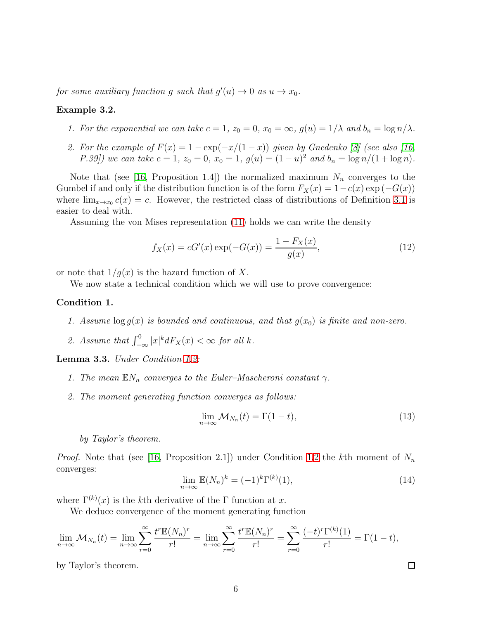*for some auxiliary function* g *such that*  $g'(u) \to 0$  *as*  $u \to x_0$ *.* 

### <span id="page-5-5"></span>Example 3.2.

- *1. For the exponential we can take*  $c = 1$ ,  $z_0 = 0$ ,  $x_0 = \infty$ ,  $g(u) = 1/\lambda$  and  $b_n = \log n/\lambda$ .
- *2. For the example of*  $F(x) = 1 \exp(-x/(1-x))$  *given by Gnedenko* [\[8\]](#page-9-13) (see also [\[16,](#page-10-2) *P.39]*) we can take  $c = 1$ ,  $z_0 = 0$ ,  $x_0 = 1$ ,  $g(u) = (1 - u)^2$  and  $b_n = \log n/(1 + \log n)$ .

Note that (see [\[16,](#page-10-2) Proposition 1.4]) the normalized maximum  $N_n$  converges to the Gumbel if and only if the distribution function is of the form  $F_X(x) = 1 - c(x) \exp(-G(x))$ where  $\lim_{x\to x_0} c(x) = c$ . However, the restricted class of distributions of Definition [3.1](#page-4-2) is easier to deal with.

Assuming the von Mises representation [\(11\)](#page-4-3) holds we can write the density

$$
f_X(x) = cG'(x) \exp(-G(x)) = \frac{1 - F_X(x)}{g(x)},
$$
\n(12)

or note that  $1/q(x)$  is the hazard function of X.

We now state a technical condition which we will use to prove convergence:

### <span id="page-5-2"></span><span id="page-5-0"></span>Condition 1.

- <span id="page-5-1"></span>*1. Assume*  $\log g(x)$  *is bounded and continuous, and that*  $g(x_0)$  *is finite and non-zero.*
- 2. Assume that  $\int_{-\infty}^{0} |x|^k dF_X(x) < \infty$  for all k.

<span id="page-5-3"></span>Lemma 3.3. *Under Condition [1.](#page-5-0)[2:](#page-5-1)*

- *1. The mean*  $\mathbb{E}N_n$  *converges to the Euler–Mascheroni constant*  $\gamma$ *.*
- *2. The moment generating function converges as follows:*

<span id="page-5-4"></span>
$$
\lim_{n \to \infty} \mathcal{M}_{N_n}(t) = \Gamma(1 - t),\tag{13}
$$

*by Taylor's theorem.*

*Proof.* Note that (see [\[16,](#page-10-2) Proposition 2.1]) under Condition [1](#page-5-0)[.2](#page-5-1) the kth moment of  $N_n$ converges:

<span id="page-5-6"></span>
$$
\lim_{n \to \infty} \mathbb{E}(N_n)^k = (-1)^k \Gamma^{(k)}(1),\tag{14}
$$

 $\Box$ 

where  $\Gamma^{(k)}(x)$  is the k<sup>th</sup> derivative of the Γ function at x.

We deduce convergence of the moment generating function

$$
\lim_{n\to\infty} \mathcal{M}_{N_n}(t) = \lim_{n\to\infty} \sum_{r=0}^{\infty} \frac{t^r \mathbb{E}(N_n)^r}{r!} = \lim_{n\to\infty} \sum_{r=0}^{\infty} \frac{t^r \mathbb{E}(N_n)^r}{r!} = \sum_{r=0}^{\infty} \frac{(-t)^r \Gamma^{(k)}(1)}{r!} = \Gamma(1-t),
$$

by Taylor's theorem.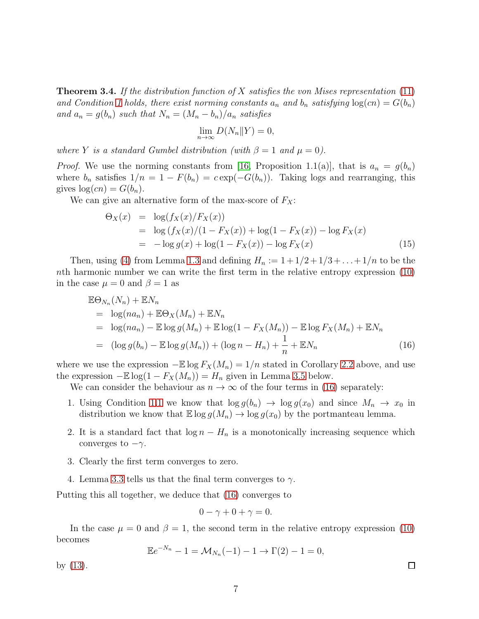<span id="page-6-0"></span>Theorem 3.4. *If the distribution function of* X *satisfies the von Mises representation* [\(11\)](#page-4-3) and Condition [1](#page-5-0) holds, there exist norming constants  $a_n$  and  $b_n$  satisfying  $log(cn) = G(b_n)$ *and*  $a_n = g(b_n)$  *such that*  $N_n = (M_n - b_n)/a_n$  *satisfies* 

$$
\lim_{n \to \infty} D(N_n \| Y) = 0,
$$

*where* Y *is a standard Gumbel distribution (with*  $\beta = 1$  *and*  $\mu = 0$ ).

*Proof.* We use the norming constants from [\[16,](#page-10-2) Proposition 1.1(a)], that is  $a_n = g(b_n)$ where  $b_n$  satisfies  $1/n = 1 - F(b_n) = c \exp(-G(b_n))$ . Taking logs and rearranging, this gives  $log(cn) = G(b_n)$ .

We can give an alternative form of the max-score of  $F_X$ :

$$
\Theta_X(x) = \log(f_X(x)/F_X(x))
$$
  
= log  $(f_X(x)/(1 - F_X(x)) + \log(1 - F_X(x)) - \log F_X(x)$   
= -log  $g(x) + \log(1 - F_X(x)) - \log F_X(x)$  (15)

Then, using [\(4\)](#page-2-2) from Lemma [1.3](#page-2-0) and defining  $H_n := 1 + 1/2 + 1/3 + \ldots + 1/n$  to be the nth harmonic number we can write the first term in the relative entropy expression [\(10\)](#page-4-1) in the case  $\mu = 0$  and  $\beta = 1$  as

<span id="page-6-1"></span>
$$
\mathbb{E}\Theta_{N_n}(N_n) + \mathbb{E}N_n
$$
  
=  $\log(na_n) + \mathbb{E}\Theta_X(M_n) + \mathbb{E}N_n$   
=  $\log(na_n) - \mathbb{E}\log g(M_n) + \mathbb{E}\log(1 - F_X(M_n)) - \mathbb{E}\log F_X(M_n) + \mathbb{E}N_n$   
=  $(\log g(b_n) - \mathbb{E}\log g(M_n)) + (\log n - H_n) + \frac{1}{n} + \mathbb{E}N_n$  (16)

where we use the expression  $-\mathbb{E} \log F_X(M_n) = 1/n$  stated in Corollary [2.2](#page-3-3) above, and use the expression  $-\mathbb{E}\log(1 - F_X(M_n)) = H_n$  given in Lemma [3.5](#page-7-0) below.

We can consider the behaviour as  $n \to \infty$  of the four terms in [\(16\)](#page-6-1) separately:

- 1. Using Condition [1](#page-5-0)[.1](#page-5-2) we know that  $\log g(b_n) \to \log g(x_0)$  and since  $M_n \to x_0$  in distribution we know that  $\mathbb{E} \log g(M_n) \to \log g(x_0)$  by the portmanteau lemma.
- 2. It is a standard fact that  $\log n H_n$  is a monotonically increasing sequence which converges to  $-\gamma$ .
- 3. Clearly the first term converges to zero.
- 4. Lemma [3.3](#page-5-3) tells us that the final term converges to  $\gamma$ .

Putting this all together, we deduce that [\(16\)](#page-6-1) converges to

$$
0 - \gamma + 0 + \gamma = 0.
$$

In the case  $\mu = 0$  and  $\beta = 1$ , the second term in the relative entropy expression [\(10\)](#page-4-1) becomes

$$
\mathbb{E}e^{-N_n} - 1 = \mathcal{M}_{N_n}(-1) - 1 \to \Gamma(2) - 1 = 0,
$$

7

by [\(13\)](#page-5-4).

 $\Box$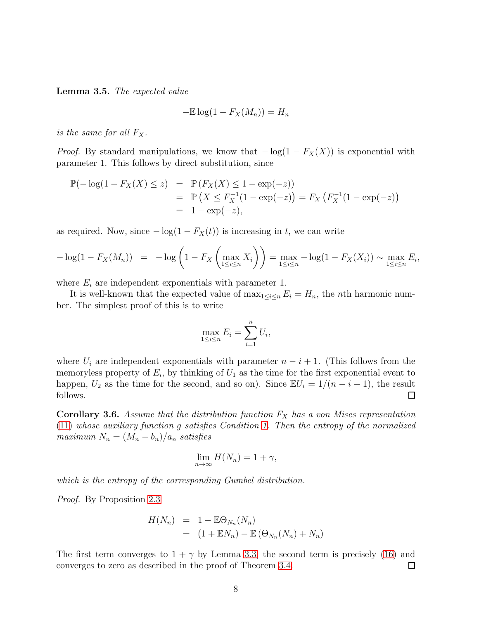<span id="page-7-0"></span>Lemma 3.5. *The expected value*

$$
-\mathbb{E}\log(1 - F_X(M_n)) = H_n
$$

*is the same for all*  $F_X$ .

*Proof.* By standard manipulations, we know that  $-\log(1 - F_X(X))$  is exponential with parameter 1. This follows by direct substitution, since

$$
\mathbb{P}(-\log(1 - F_X(X) \le z) = \mathbb{P}(F_X(X) \le 1 - \exp(-z))
$$
  
=  $\mathbb{P}(X \le F_X^{-1}(1 - \exp(-z)) = F_X(F_X^{-1}(1 - \exp(-z))$   
=  $1 - \exp(-z),$ 

as required. Now, since  $-\log(1 - F_X(t))$  is increasing in t, we can write

$$
-\log(1 - F_X(M_n)) = -\log\left(1 - F_X\left(\max_{1 \le i \le n} X_i\right)\right) = \max_{1 \le i \le n} -\log(1 - F_X(X_i)) \sim \max_{1 \le i \le n} E_i,
$$

where  $E_i$  are independent exponentials with parameter 1.

It is well-known that the expected value of  $\max_{1 \leq i \leq n} E_i = H_n$ , the *n*th harmonic number. The simplest proof of this is to write

$$
\max_{1 \le i \le n} E_i = \sum_{i=1}^n U_i,
$$

where  $U_i$  are independent exponentials with parameter  $n-i+1$ . (This follows from the memoryless property of  $E_i$ , by thinking of  $U_1$  as the time for the first exponential event to happen,  $U_2$  as the time for the second, and so on). Since  $\mathbb{E}U_i = 1/(n-i+1)$ , the result follows.  $\Box$ 

<span id="page-7-1"></span>**Corollary 3.6.** Assume that the distribution function  $F_X$  has a von Mises representation [\(11\)](#page-4-3) *whose auxiliary function* g *satisfies Condition [1.](#page-5-0) Then the entropy of the normalized maximum*  $N_n = (M_n - b_n)/a_n$  *satisfies* 

$$
\lim_{n \to \infty} H(N_n) = 1 + \gamma,
$$

*which is the entropy of the corresponding Gumbel distribution.*

*Proof.* By Proposition [2.3](#page-3-2)

$$
H(N_n) = 1 - \mathbb{E}\Theta_{N_n}(N_n)
$$
  
= 
$$
(1 + \mathbb{E}N_n) - \mathbb{E}(\Theta_{N_n}(N_n) + N_n)
$$

The first term converges to  $1 + \gamma$  by Lemma [3.3,](#page-5-3) the second term is precisely [\(16\)](#page-6-1) and converges to zero as described in the proof of Theorem [3.4.](#page-6-0) □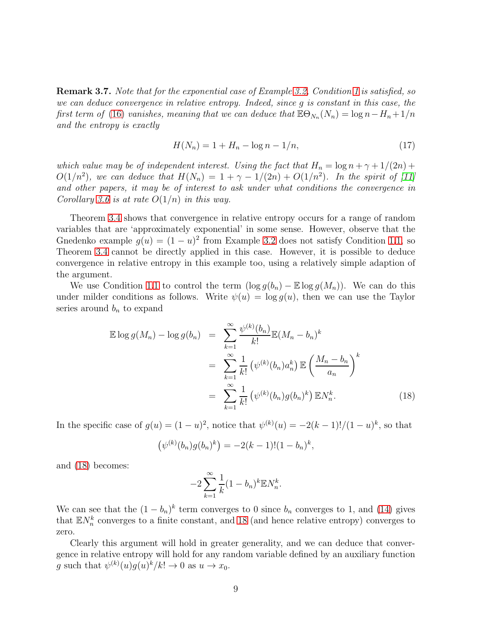Remark 3.7. *Note that for the exponential case of Example [3.2,](#page-5-5) Condition [1](#page-5-0) is satisfied, so we can deduce convergence in relative entropy. Indeed, since* g *is constant in this case, the first term of* [\(16\)](#page-6-1) *vanishes, meaning that we can deduce that*  $\mathbb{E}\Theta_{N_n}(N_n) = \log n - H_n + 1/n$ *and the entropy is exactly*

$$
H(N_n) = 1 + H_n - \log n - 1/n,
$$
\n(17)

*which value may be of independent interest. Using the fact that*  $H_n = \log n + \gamma + 1/(2n) +$  $O(1/n^2)$ , we can deduce that  $H(N_n) = 1 + \gamma - 1/(2n) + O(1/n^2)$ . In the spirit of [\[11\]](#page-9-4) *and other papers, it may be of interest to ask under what conditions the convergence in Corollary [3.6](#page-7-1) is at rate* O(1/n) *in this way.*

Theorem [3.4](#page-6-0) shows that convergence in relative entropy occurs for a range of random variables that are 'approximately exponential' in some sense. However, observe that the Gnedenko example  $g(u) = (1 - u)^2$  from Example [3.2](#page-5-5) does not satisfy Condition [1.](#page-5-0)[1,](#page-5-2) so Theorem [3.4](#page-6-0) cannot be directly applied in this case. However, it is possible to deduce convergence in relative entropy in this example too, using a relatively simple adaption of the argument.

We use Condition [1.](#page-5-0)[1](#page-5-2) to control the term  $(\log g(b_n) - \mathbb{E} \log g(M_n))$ . We can do this under milder conditions as follows. Write  $\psi(u) = \log g(u)$ , then we can use the Taylor series around  $b_n$  to expand

<span id="page-8-0"></span>
$$
\mathbb{E}\log g(M_n) - \log g(b_n) = \sum_{k=1}^{\infty} \frac{\psi^{(k)}(b_n)}{k!} \mathbb{E}(M_n - b_n)^k
$$

$$
= \sum_{k=1}^{\infty} \frac{1}{k!} \left(\psi^{(k)}(b_n)a_n^k\right) \mathbb{E}\left(\frac{M_n - b_n}{a_n}\right)^k
$$

$$
= \sum_{k=1}^{\infty} \frac{1}{k!} \left(\psi^{(k)}(b_n)g(b_n)^k\right) \mathbb{E}N_n^k.
$$
(18)

In the specific case of  $g(u) = (1 - u)^2$ , notice that  $\psi^{(k)}(u) = -2(k - 1)!/(1 - u)^k$ , so that

$$
(\psi^{(k)}(b_n)g(b_n)^k) = -2(k-1)!(1-b_n)^k,
$$

and [\(18\)](#page-8-0) becomes:

$$
-2\sum_{k=1}^{\infty}\frac{1}{k}(1-b_n)^k \mathbb{E} N_n^k.
$$

We can see that the  $(1 - b_n)^k$  term converges to 0 since  $b_n$  converges to 1, and [\(14\)](#page-5-6) gives that  $\mathbb{E} N_n^k$  converges to a finite constant, and [18](#page-8-0) (and hence relative entropy) converges to zero.

Clearly this argument will hold in greater generality, and we can deduce that convergence in relative entropy will hold for any random variable defined by an auxiliary function g such that  $\psi^{(k)}(u)g(u)^k/k! \to 0$  as  $u \to x_0$ .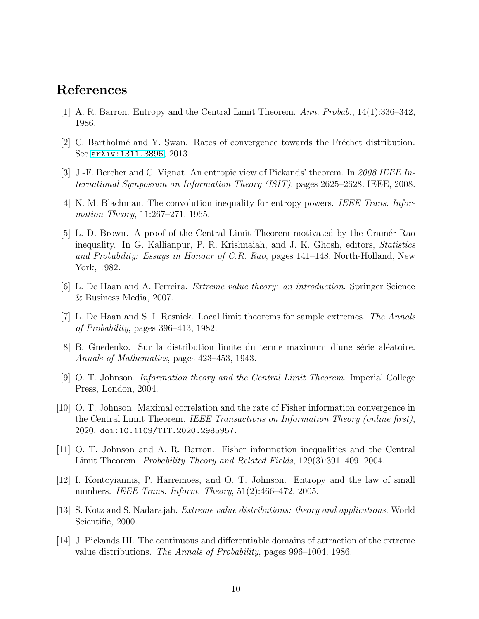### <span id="page-9-2"></span>References

- <span id="page-9-10"></span>[1] A. R. Barron. Entropy and the Central Limit Theorem. *Ann. Probab.*, 14(1):336–342, 1986.
- <span id="page-9-11"></span>[2] C. Bartholmé and Y. Swan. Rates of convergence towards the Fréchet distribution. See [arXiv:1311.3896](http://arxiv.org/abs/1311.3896), 2013.
- <span id="page-9-0"></span>[3] J.-F. Bercher and C. Vignat. An entropic view of Pickands' theorem. In *2008 IEEE International Symposium on Information Theory (ISIT)*, pages 2625–2628. IEEE, 2008.
- <span id="page-9-1"></span>[4] N. M. Blachman. The convolution inequality for entropy powers. *IEEE Trans. Information Theory*, 11:267–271, 1965.
- [5] L. D. Brown. A proof of the Central Limit Theorem motivated by the Cramér-Rao inequality. In G. Kallianpur, P. R. Krishnaiah, and J. K. Ghosh, editors, *Statistics and Probability: Essays in Honour of C.R. Rao*, pages 141–148. North-Holland, New York, 1982.
- <span id="page-9-8"></span><span id="page-9-7"></span>[6] L. De Haan and A. Ferreira. *Extreme value theory: an introduction*. Springer Science & Business Media, 2007.
- <span id="page-9-13"></span>[7] L. De Haan and S. I. Resnick. Local limit theorems for sample extremes. *The Annals of Probability*, pages 396–413, 1982.
- <span id="page-9-3"></span>[8] B. Gnedenko. Sur la distribution limite du terme maximum d'une série aléatoire. *Annals of Mathematics*, pages 423–453, 1943.
- [9] O. T. Johnson. *Information theory and the Central Limit Theorem*. Imperial College Press, London, 2004.
- <span id="page-9-5"></span>[10] O. T. Johnson. Maximal correlation and the rate of Fisher information convergence in the Central Limit Theorem. *IEEE Transactions on Information Theory (online first)*, 2020. doi:10.1109/TIT.2020.2985957.
- <span id="page-9-4"></span>[11] O. T. Johnson and A. R. Barron. Fisher information inequalities and the Central Limit Theorem. *Probability Theory and Related Fields*, 129(3):391–409, 2004.
- <span id="page-9-6"></span> $[12]$  I. Kontoyiannis, P. Harremoës, and O. T. Johnson. Entropy and the law of small numbers. *IEEE Trans. Inform. Theory*, 51(2):466–472, 2005.
- <span id="page-9-12"></span><span id="page-9-9"></span>[13] S. Kotz and S. Nadarajah. *Extreme value distributions: theory and applications*. World Scientific, 2000.
- [14] J. Pickands III. The continuous and differentiable domains of attraction of the extreme value distributions. *The Annals of Probability*, pages 996–1004, 1986.